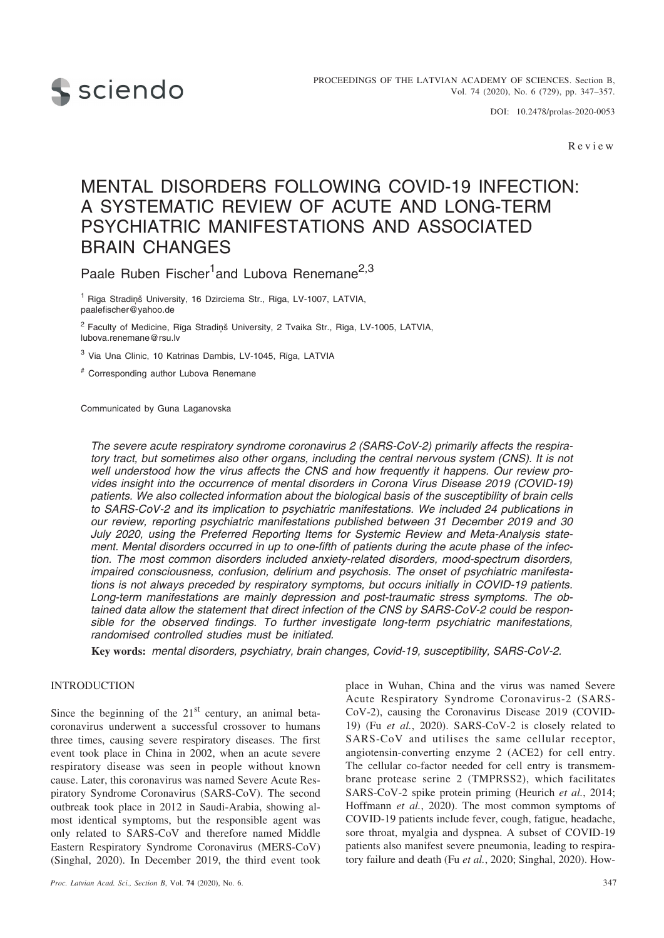

DOI: 10.2478/prolas-2020-0053

Review

# MENTAL DISORDERS FOLLOWING COVID-19 INFECTION: A SYSTEMATIC REVIEW OF ACUTE AND LONG-TERM PSYCHIATRIC MANIFESTATIONS AND ASSOCIATED BRAIN CHANGES

Paale Ruben Fischer<sup>1</sup>and Lubova Renemane<sup>2,3</sup>

<sup>1</sup> Rīga Stradiņš University, 16 Dzirciema Str., Rīga, LV-1007, LATVIA, paalefischer@yahoo.de

 $2$  Faculty of Medicine, Rīga Stradinš University, 2 Tvaika Str., Rīga, LV-1005, LATVIA, lubova.renemane@rsu.lv

<sup>3</sup> Via Una Clinic, 10 Katrînas Dambis, LV-1045, Rîga, LATVIA

# Corresponding author Lubova Renemane

Communicated by Guna Laganovska

*The severe acute respiratory syndrome coronavirus 2 (SARS-CoV-2) primarily affects the respiratory tract, but sometimes also other organs, including the central nervous system (CNS). It is not well understood how the virus affects the CNS and how frequently it happens. Our review provides insight into the occurrence of mental disorders in Corona Virus Disease 2019 (COVID-19) patients. We also collected information about the biological basis of the susceptibility of brain cells to SARS-CoV-2 and its implication to psychiatric manifestations. We included 24 publications in our review, reporting psychiatric manifestations published between 31 December 2019 and 30 July 2020, using the Preferred Reporting Items for Systemic Review and Meta-Analysis statement. Mental disorders occurred in up to one-fifth of patients during the acute phase of the infection. The most common disorders included anxiety-related disorders, mood-spectrum disorders, impaired consciousness, confusion, delirium and psychosis. The onset of psychiatric manifestations is not always preceded by respiratory symptoms, but occurs initially in COVID-19 patients. Long-term manifestations are mainly depression and post-traumatic stress symptoms. The obtained data allow the statement that direct infection of the CNS by SARS-CoV-2 could be responsible for the observed findings. To further investigate long-term psychiatric manifestations, randomised controlled studies must be initiated.*

**Key words:** *mental disorders, psychiatry, brain changes, Covid-19, susceptibility, SARS-CoV-2.*

#### INTRODUCTION

Since the beginning of the  $21<sup>st</sup>$  century, an animal betacoronavirus underwent a successful crossover to humans three times, causing severe respiratory diseases. The first event took place in China in 2002, when an acute severe respiratory disease was seen in people without known cause. Later, this coronavirus was named Severe Acute Respiratory Syndrome Coronavirus (SARS-CoV). The second outbreak took place in 2012 in Saudi-Arabia, showing almost identical symptoms, but the responsible agent was only related to SARS-CoV and therefore named Middle Eastern Respiratory Syndrome Coronavirus (MERS-CoV) (Singhal, 2020). In December 2019, the third event took

place in Wuhan, China and the virus was named Severe Acute Respiratory Syndrome Coronavirus-2 (SARS-CoV-2), causing the Coronavirus Disease 2019 (COVID-19) (Fu *et al.*, 2020). SARS-CoV-2 is closely related to SARS-CoV and utilises the same cellular receptor, angiotensin-converting enzyme 2 (ACE2) for cell entry. The cellular co-factor needed for cell entry is transmembrane protease serine 2 (TMPRSS2), which facilitates SARS-CoV-2 spike protein priming (Heurich *et al.*, 2014; Hoffmann *et al.*, 2020). The most common symptoms of COVID-19 patients include fever, cough, fatigue, headache, sore throat, myalgia and dyspnea. A subset of COVID-19 patients also manifest severe pneumonia, leading to respiratory failure and death (Fu *et al.*, 2020; Singhal, 2020). How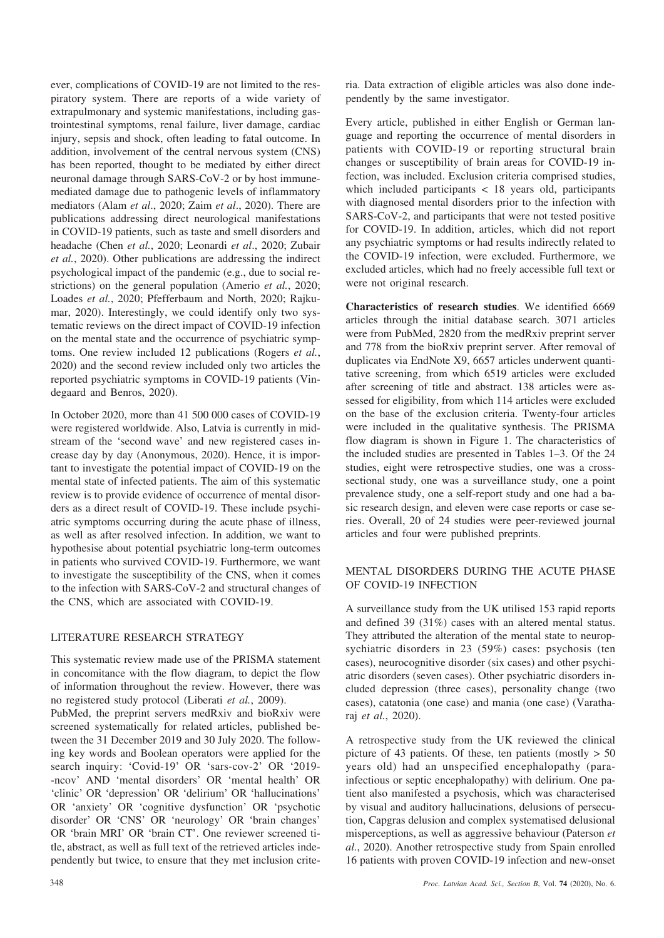ever, complications of COVID-19 are not limited to the respiratory system. There are reports of a wide variety of extrapulmonary and systemic manifestations, including gastrointestinal symptoms, renal failure, liver damage, cardiac injury, sepsis and shock, often leading to fatal outcome. In addition, involvement of the central nervous system (CNS) has been reported, thought to be mediated by either direct neuronal damage through SARS-CoV-2 or by host immunemediated damage due to pathogenic levels of inflammatory mediators (Alam *et al*., 2020; Zaim *et al*., 2020). There are publications addressing direct neurological manifestations in COVID-19 patients, such as taste and smell disorders and headache (Chen *et al.*, 2020; Leonardi *et al*., 2020; Zubair *et al.*, 2020). Other publications are addressing the indirect psychological impact of the pandemic (e.g., due to social restrictions) on the general population (Amerio *et al.*, 2020; Loades *et al.*, 2020; Pfefferbaum and North, 2020; Rajkumar, 2020). Interestingly, we could identify only two systematic reviews on the direct impact of COVID-19 infection on the mental state and the occurrence of psychiatric symptoms. One review included 12 publications (Rogers *et al.*, 2020) and the second review included only two articles the reported psychiatric symptoms in COVID-19 patients (Vindegaard and Benros, 2020).

In October 2020, more than 41 500 000 cases of COVID-19 were registered worldwide. Also, Latvia is currently in midstream of the 'second wave' and new registered cases increase day by day (Anonymous, 2020). Hence, it is important to investigate the potential impact of COVID-19 on the mental state of infected patients. The aim of this systematic review is to provide evidence of occurrence of mental disorders as a direct result of COVID-19. These include psychiatric symptoms occurring during the acute phase of illness, as well as after resolved infection. In addition, we want to hypothesise about potential psychiatric long-term outcomes in patients who survived COVID-19. Furthermore, we want to investigate the susceptibility of the CNS, when it comes to the infection with SARS-CoV-2 and structural changes of the CNS, which are associated with COVID-19.

## LITERATURE RESEARCH STRATEGY

This systematic review made use of the PRISMA statement in concomitance with the flow diagram, to depict the flow of information throughout the review. However, there was no registered study protocol (Liberati *et al.*, 2009).

PubMed, the preprint servers medRxiv and bioRxiv were screened systematically for related articles, published between the 31 December 2019 and 30 July 2020. The following key words and Boolean operators were applied for the search inquiry: 'Covid-19' OR 'sars-cov-2' OR '2019- -ncov' AND 'mental disorders' OR 'mental health' OR 'clinic' OR 'depression' OR 'delirium' OR 'hallucinations' OR 'anxiety' OR 'cognitive dysfunction' OR 'psychotic disorder' OR 'CNS' OR 'neurology' OR 'brain changes' OR 'brain MRI' OR 'brain CT'. One reviewer screened title, abstract, as well as full text of the retrieved articles independently but twice, to ensure that they met inclusion criteria. Data extraction of eligible articles was also done independently by the same investigator.

Every article, published in either English or German language and reporting the occurrence of mental disorders in patients with COVID-19 or reporting structural brain changes or susceptibility of brain areas for COVID-19 infection, was included. Exclusion criteria comprised studies, which included participants < 18 years old, participants with diagnosed mental disorders prior to the infection with SARS-CoV-2, and participants that were not tested positive for COVID-19. In addition, articles, which did not report any psychiatric symptoms or had results indirectly related to the COVID-19 infection, were excluded. Furthermore, we excluded articles, which had no freely accessible full text or were not original research.

**Characteristics of research studies**. We identified 6669 articles through the initial database search. 3071 articles were from PubMed, 2820 from the medRxiv preprint server and 778 from the bioRxiv preprint server. After removal of duplicates via EndNote X9, 6657 articles underwent quantitative screening, from which 6519 articles were excluded after screening of title and abstract. 138 articles were assessed for eligibility, from which 114 articles were excluded on the base of the exclusion criteria. Twenty-four articles were included in the qualitative synthesis. The PRISMA flow diagram is shown in Figure 1. The characteristics of the included studies are presented in Tables 1–3. Of the 24 studies, eight were retrospective studies, one was a crosssectional study, one was a surveillance study, one a point prevalence study, one a self-report study and one had a basic research design, and eleven were case reports or case series. Overall, 20 of 24 studies were peer-reviewed journal articles and four were published preprints.

## MENTAL DISORDERS DURING THE ACUTE PHASE OF COVID-19 INFECTION

A surveillance study from the UK utilised 153 rapid reports and defined 39 (31%) cases with an altered mental status. They attributed the alteration of the mental state to neuropsychiatric disorders in 23 (59%) cases: psychosis (ten cases), neurocognitive disorder (six cases) and other psychiatric disorders (seven cases). Other psychiatric disorders included depression (three cases), personality change (two cases), catatonia (one case) and mania (one case) (Varatharaj *et al.*, 2020).

A retrospective study from the UK reviewed the clinical picture of 43 patients. Of these, ten patients (mostly  $> 50$ ) years old) had an unspecified encephalopathy (parainfectious or septic encephalopathy) with delirium. One patient also manifested a psychosis, which was characterised by visual and auditory hallucinations, delusions of persecution, Capgras delusion and complex systematised delusional misperceptions, as well as aggressive behaviour (Paterson *et al.*, 2020). Another retrospective study from Spain enrolled 16 patients with proven COVID-19 infection and new-onset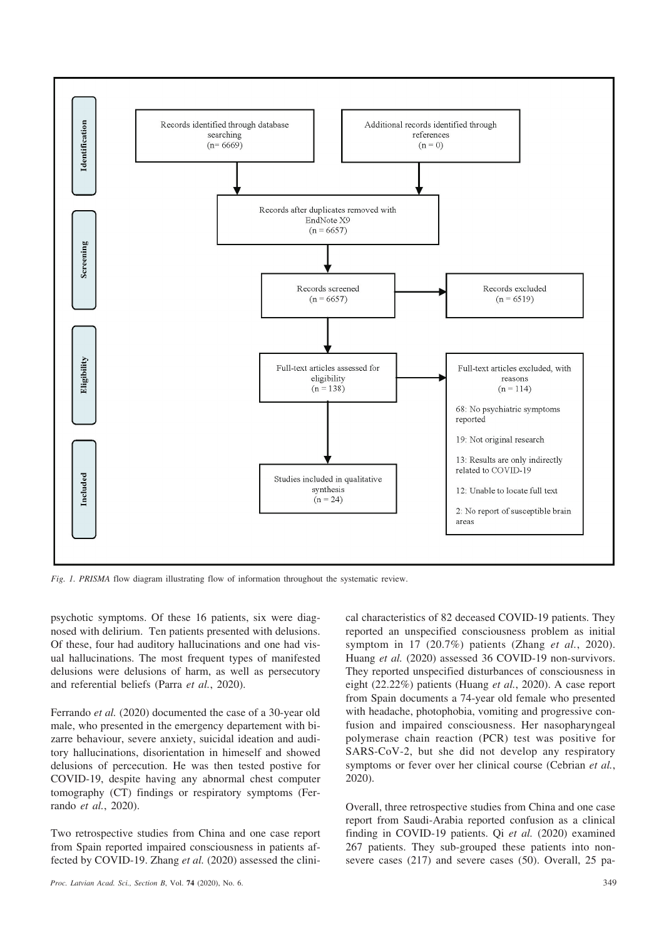

*Fig. 1. PRISMA* flow diagram illustrating flow of information throughout the systematic review.

psychotic symptoms. Of these 16 patients, six were diagnosed with delirium. Ten patients presented with delusions. Of these, four had auditory hallucinations and one had visual hallucinations. The most frequent types of manifested delusions were delusions of harm, as well as persecutory and referential beliefs (Parra *et al.*, 2020).

Ferrando *et al.* (2020) documented the case of a 30-year old male, who presented in the emergency departement with bizarre behaviour, severe anxiety, suicidal ideation and auditory hallucinations, disorientation in himeself and showed delusions of percecution. He was then tested postive for COVID-19, despite having any abnormal chest computer tomography (CT) findings or respiratory symptoms (Ferrando *et al.*, 2020).

Two retrospective studies from China and one case report from Spain reported impaired consciousness in patients affected by COVID-19. Zhang *et al.* (2020) assessed the clinical characteristics of 82 deceased COVID-19 patients. They reported an unspecified consciousness problem as initial symptom in 17 (20.7%) patients (Zhang *et al.*, 2020). Huang *et al.* (2020) assessed 36 COVID-19 non-survivors. They reported unspecified disturbances of consciousness in eight (22.22%) patients (Huang *et al.*, 2020). A case report from Spain documents a 74-year old female who presented with headache, photophobia, vomiting and progressive confusion and impaired consciousness. Her nasopharyngeal polymerase chain reaction (PCR) test was positive for SARS-CoV-2, but she did not develop any respiratory symptoms or fever over her clinical course (Cebrian *et al.*, 2020).

Overall, three retrospective studies from China and one case report from Saudi-Arabia reported confusion as a clinical finding in COVID-19 patients. Qi *et al.* (2020) examined 267 patients. They sub-grouped these patients into nonsevere cases (217) and severe cases (50). Overall, 25 pa-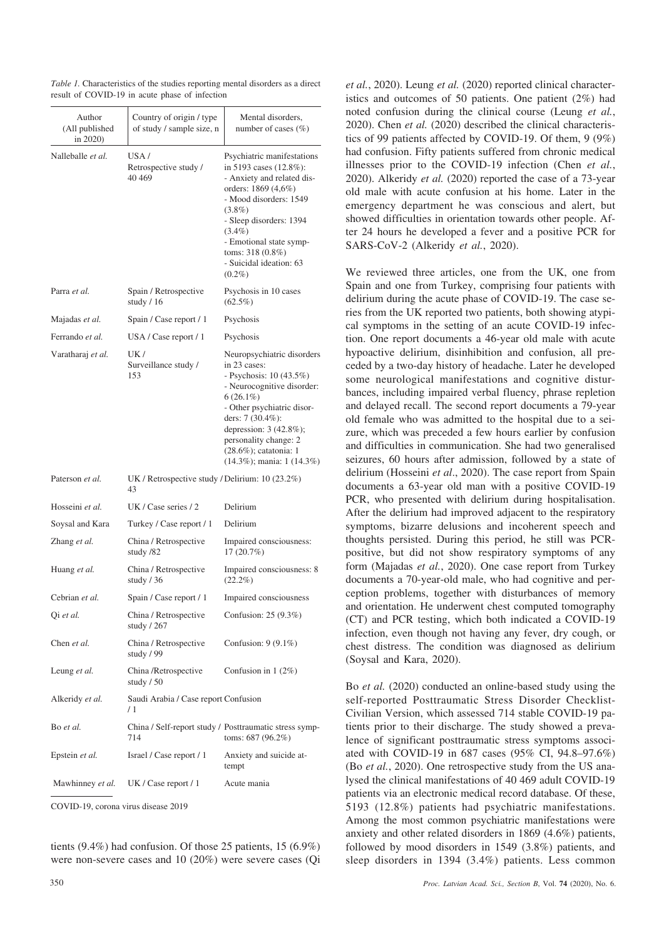| Author<br>(All published<br>in 2020)                    | Country of origin / type<br>of study / sample size, n | Mental disorders,<br>number of cases $(\% )$                                                                                                                                                                                                                                             |  |  |  |
|---------------------------------------------------------|-------------------------------------------------------|------------------------------------------------------------------------------------------------------------------------------------------------------------------------------------------------------------------------------------------------------------------------------------------|--|--|--|
| Nalleballe et al.                                       | USA /<br>Retrospective study /<br>40 469              | Psychiatric manifestations<br>in 5193 cases (12.8%):<br>- Anxiety and related dis-<br>orders: $1869(4,6\%)$<br>- Mood disorders: 1549<br>$(3.8\%)$<br>- Sleep disorders: 1394<br>$(3.4\%)$<br>- Emotional state symp-<br>toms: 318 (0.8%)<br>- Suicidal ideation: 63<br>$(0.2\%)$        |  |  |  |
| Parra et al.                                            | Spain / Retrospective<br>study $/16$                  | Psychosis in 10 cases<br>$(62.5\%)$                                                                                                                                                                                                                                                      |  |  |  |
| Majadas <i>et al</i> .                                  | Spain / Case report / 1                               | Psychosis                                                                                                                                                                                                                                                                                |  |  |  |
| Ferrando et al.                                         | USA / Case report / 1                                 | Psychosis                                                                                                                                                                                                                                                                                |  |  |  |
| Varatharaj et al.                                       | UK /<br>Surveillance study /<br>153                   | Neuropsychiatric disorders<br>in 23 cases:<br>- Psychosis: 10 (43.5%)<br>- Neurocognitive disorder:<br>$6(26.1\%)$<br>- Other psychiatric disor-<br>ders: 7 (30.4%):<br>depression: 3 (42.8%);<br>personality change: 2<br>$(28.6\%)$ ; catatonia: 1<br>$(14.3\%)$ ; mania: 1 $(14.3\%)$ |  |  |  |
| Paterson <i>et al.</i>                                  | UK / Retrospective study / Delirium: 10 (23.2%)<br>43 |                                                                                                                                                                                                                                                                                          |  |  |  |
| Hosseini et al.                                         | UK / Case series / 2                                  | Delirium                                                                                                                                                                                                                                                                                 |  |  |  |
| Soysal and Kara                                         | Turkey / Case report / 1                              | Delirium                                                                                                                                                                                                                                                                                 |  |  |  |
| Zhang et al.                                            | China / Retrospective<br>study /82                    | Impaired consciousness:<br>17(20.7%)                                                                                                                                                                                                                                                     |  |  |  |
| Huang et al.                                            | China / Retrospective<br>study $/36$                  | Impaired consciousness: 8<br>$(22.2\%)$                                                                                                                                                                                                                                                  |  |  |  |
| Cebrian et al.                                          | Spain / Case report / 1                               | Impaired consciousness                                                                                                                                                                                                                                                                   |  |  |  |
| Qi et al.                                               | China / Retrospective<br>study / 267                  | Confusion: 25 (9.3%)                                                                                                                                                                                                                                                                     |  |  |  |
| Chen et al.                                             | China / Retrospective<br>study / 99                   | Confusion: $9(9.1\%)$                                                                                                                                                                                                                                                                    |  |  |  |
| Leung et al.                                            | China / Retrospective<br>study $/50$                  | Confusion in $1(2\%)$                                                                                                                                                                                                                                                                    |  |  |  |
| Alkeridy et al.                                         | Saudi Arabia / Case report Confusion<br>$\sqrt{1}$    |                                                                                                                                                                                                                                                                                          |  |  |  |
| Bo et al.                                               | 714                                                   | China / Self-report study / Posttraumatic stress symp-<br>toms: $687 (96.2\%)$                                                                                                                                                                                                           |  |  |  |
| Epstein et al.                                          | Israel / Case report / 1                              | Anxiety and suicide at-<br>tempt                                                                                                                                                                                                                                                         |  |  |  |
| Acute mania<br>Mawhinney et al.<br>UK / Case report / 1 |                                                       |                                                                                                                                                                                                                                                                                          |  |  |  |
| COVID-19, corona virus disease 2019                     |                                                       |                                                                                                                                                                                                                                                                                          |  |  |  |

*Table 1.* Characteristics of the studies reporting mental disorders as a direct result of COVID-19 in acute phase of infection

tients (9.4%) had confusion. Of those 25 patients, 15 (6.9%) were non-severe cases and 10 (20%) were severe cases (Qi *et al.*, 2020). Leung *et al.* (2020) reported clinical characteristics and outcomes of 50 patients. One patient  $(2\%)$  had noted confusion during the clinical course (Leung *et al.*, 2020). Chen *et al.* (2020) described the clinical characteristics of 99 patients affected by COVID-19. Of them, 9 (9%) had confusion. Fifty patients suffered from chronic medical illnesses prior to the COVID-19 infection (Chen *et al.*, 2020). Alkeridy *et al.* (2020) reported the case of a 73-year old male with acute confusion at his home. Later in the emergency department he was conscious and alert, but showed difficulties in orientation towards other people. After 24 hours he developed a fever and a positive PCR for SARS-CoV-2 (Alkeridy *et al.*, 2020).

We reviewed three articles, one from the UK, one from Spain and one from Turkey, comprising four patients with delirium during the acute phase of COVID-19. The case series from the UK reported two patients, both showing atypical symptoms in the setting of an acute COVID-19 infection. One report documents a 46-year old male with acute hypoactive delirium, disinhibition and confusion, all preceded by a two-day history of headache. Later he developed some neurological manifestations and cognitive disturbances, including impaired verbal fluency, phrase repletion and delayed recall. The second report documents a 79-year old female who was admitted to the hospital due to a seizure, which was preceded a few hours earlier by confusion and difficulties in communication. She had two generalised seizures, 60 hours after admission, followed by a state of delirium (Hosseini *et al*., 2020). The case report from Spain documents a 63-year old man with a positive COVID-19 PCR, who presented with delirium during hospitalisation. After the delirium had improved adjacent to the respiratory symptoms, bizarre delusions and incoherent speech and thoughts persisted. During this period, he still was PCRpositive, but did not show respiratory symptoms of any form (Majadas *et al.*, 2020). One case report from Turkey documents a 70-year-old male, who had cognitive and perception problems, together with disturbances of memory and orientation. He underwent chest computed tomography (CT) and PCR testing, which both indicated a COVID-19 infection, even though not having any fever, dry cough, or chest distress. The condition was diagnosed as delirium (Soysal and Kara, 2020).

Bo *et al.* (2020) conducted an online-based study using the self-reported Posttraumatic Stress Disorder Checklist-Civilian Version, which assessed 714 stable COVID-19 patients prior to their discharge. The study showed a prevalence of significant posttraumatic stress symptoms associated with COVID-19 in 687 cases (95% CI, 94.8–97.6%) (Bo *et al.*, 2020). One retrospective study from the US analysed the clinical manifestations of 40 469 adult COVID-19 patients via an electronic medical record database. Of these, 5193 (12.8%) patients had psychiatric manifestations. Among the most common psychiatric manifestations were anxiety and other related disorders in 1869 (4.6%) patients, followed by mood disorders in 1549 (3.8%) patients, and sleep disorders in 1394 (3.4%) patients. Less common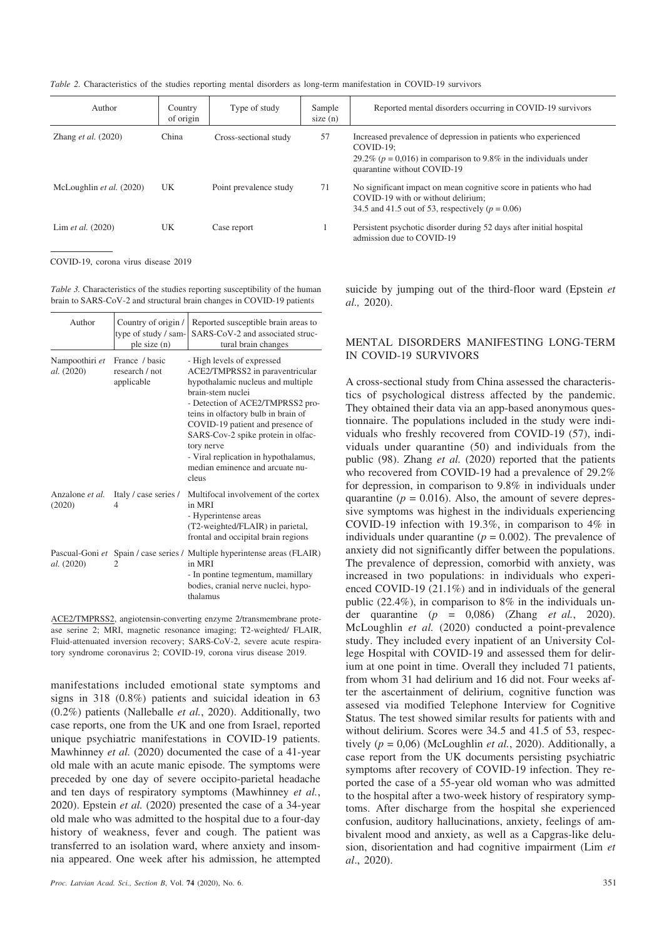*Table 2.* Characteristics of the studies reporting mental disorders as long-term manifestation in COVID-19 survivors

| Author                       | Country<br>of origin | Type of study          | Sample<br>size(n) | Reported mental disorders occurring in COVID-19 survivors                                                                                                                             |
|------------------------------|----------------------|------------------------|-------------------|---------------------------------------------------------------------------------------------------------------------------------------------------------------------------------------|
| Zhang <i>et al.</i> $(2020)$ | China                | Cross-sectional study  | 57                | Increased prevalence of depression in patients who experienced<br>$COVID-19$ :<br>29.2% ( $p = 0.016$ ) in comparison to 9.8% in the individuals under<br>quarantine without COVID-19 |
| McLoughlin et al. (2020)     | UK                   | Point prevalence study | 71                | No significant impact on mean cognitive score in patients who had<br>COVID-19 with or without delirium;<br>34.5 and 41.5 out of 53, respectively ( $p = 0.06$ )                       |
| Lim <i>et al.</i> $(2020)$   | UK                   | Case report            |                   | Persistent psychotic disorder during 52 days after initial hospital<br>admission due to COVID-19                                                                                      |

COVID-19, corona virus disease 2019

*Table 3.* Characteristics of the studies reporting susceptibility of the human brain to SARS-CoV-2 and structural brain changes in COVID-19 patients

| Author                       | Country of origin /<br>type of study / sam-<br>ple size (n) | Reported susceptible brain areas to<br>SARS-CoV-2 and associated struc-<br>tural brain changes                                                                                                                                                                                                                                                                                 |
|------------------------------|-------------------------------------------------------------|--------------------------------------------------------------------------------------------------------------------------------------------------------------------------------------------------------------------------------------------------------------------------------------------------------------------------------------------------------------------------------|
| Nampoothiri et<br>al. (2020) | France / basic<br>research / not<br>applicable              | - High levels of expressed<br>ACE2/TMPRSS2 in paraventricular<br>hypothalamic nucleus and multiple<br>brain-stem nuclei<br>- Detection of ACE2/TMPRSS2 pro-<br>teins in olfactory bulb in brain of<br>COVID-19 patient and presence of<br>SARS-Cov-2 spike protein in olfac-<br>tory nerve<br>- Viral replication in hypothalamus,<br>median eminence and arcuate nu-<br>cleus |
| Anzalone et al.<br>(2020)    | Italy / case series /<br>4                                  | Multifocal involvement of the cortex<br>in MRI<br>- Hyperintense areas<br>(T2-weighted/FLAIR) in parietal,<br>frontal and occipital brain regions                                                                                                                                                                                                                              |
| al. (2020)                   | 2                                                           | Pascual-Goni et Spain / case series / Multiple hyperintense areas (FLAIR)<br>in MRI<br>- In pontine tegmentum, mamillary<br>bodies, cranial nerve nuclei, hypo-<br>thalamus                                                                                                                                                                                                    |

ACE2/TMPRSS2, angiotensin-converting enzyme 2/transmembrane protease serine 2; MRI, magnetic resonance imaging; T2-weighted/ FLAIR, Fluid-attenuated inversion recovery; SARS-CoV-2, severe acute respiratory syndrome coronavirus 2; COVID-19, corona virus disease 2019.

manifestations included emotional state symptoms and signs in 318 (0.8%) patients and suicidal ideation in 63 (0.2%) patients (Nalleballe *et al.*, 2020). Additionally, two case reports, one from the UK and one from Israel, reported unique psychiatric manifestations in COVID-19 patients. Mawhinney *et al.* (2020) documented the case of a 41-year old male with an acute manic episode. The symptoms were preceded by one day of severe occipito-parietal headache and ten days of respiratory symptoms (Mawhinney *et al.*, 2020). Epstein *et al.* (2020) presented the case of a 34-year old male who was admitted to the hospital due to a four-day history of weakness, fever and cough. The patient was transferred to an isolation ward, where anxiety and insomnia appeared. One week after his admission, he attempted suicide by jumping out of the third-floor ward (Epstein *et al.,* 2020).

## MENTAL DISORDERS MANIFESTING LONG-TERM IN COVID-19 SURVIVORS

A cross-sectional study from China assessed the characteristics of psychological distress affected by the pandemic. They obtained their data via an app-based anonymous questionnaire. The populations included in the study were individuals who freshly recovered from COVID-19 (57), individuals under quarantine (50) and individuals from the public (98). Zhang *et al.* (2020) reported that the patients who recovered from COVID-19 had a prevalence of 29.2% for depression, in comparison to 9.8% in individuals under quarantine ( $p = 0.016$ ). Also, the amount of severe depressive symptoms was highest in the individuals experiencing COVID-19 infection with 19.3%, in comparison to 4% in individuals under quarantine ( $p = 0.002$ ). The prevalence of anxiety did not significantly differ between the populations. The prevalence of depression, comorbid with anxiety, was increased in two populations: in individuals who experienced COVID-19 (21.1%) and in individuals of the general public (22.4%), in comparison to 8% in the individuals under quarantine (*p* = 0,086) (Zhang *et al.*, 2020). McLoughlin *et al.* (2020) conducted a point-prevalence study. They included every inpatient of an University College Hospital with COVID-19 and assessed them for delirium at one point in time. Overall they included 71 patients, from whom 31 had delirium and 16 did not. Four weeks after the ascertainment of delirium, cognitive function was assesed via modified Telephone Interview for Cognitive Status. The test showed similar results for patients with and without delirium. Scores were 34.5 and 41.5 of 53, respectively (*p* = 0,06) (McLoughlin *et al.*, 2020). Additionally, a case report from the UK documents persisting psychiatric symptoms after recovery of COVID-19 infection. They reported the case of a 55-year old woman who was admitted to the hospital after a two-week history of respiratory symptoms. After discharge from the hospital she experienced confusion, auditory hallucinations, anxiety, feelings of ambivalent mood and anxiety, as well as a Capgras-like delusion, disorientation and had cognitive impairment (Lim *et al*., 2020).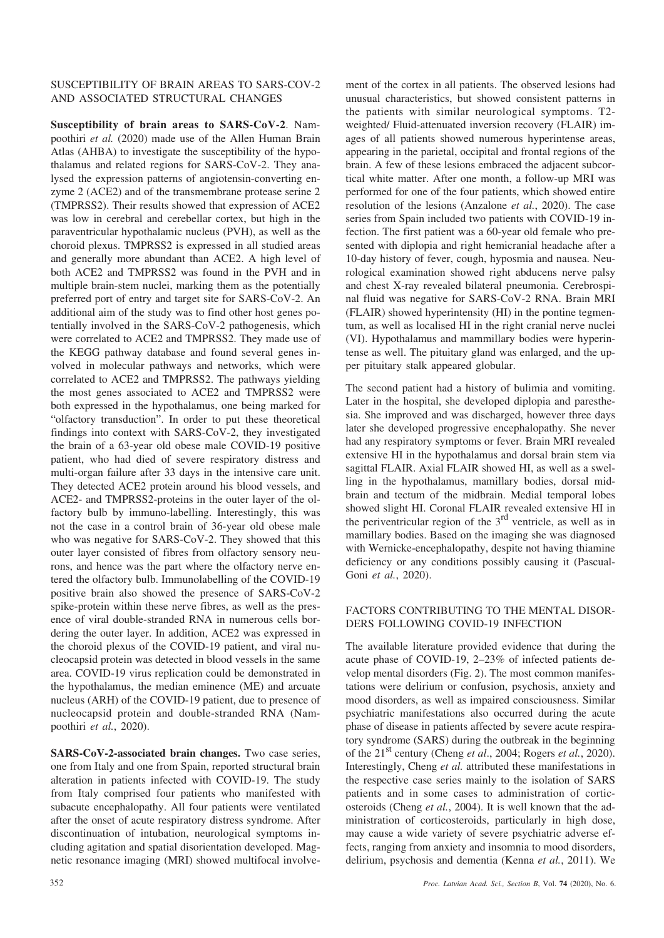## SUSCEPTIBILITY OF BRAIN AREAS TO SARS-COV-2 AND ASSOCIATED STRUCTURAL CHANGES

**Susceptibility of brain areas to SARS-CoV-2**. Nampoothiri *et al.* (2020) made use of the Allen Human Brain Atlas (AHBA) to investigate the susceptibility of the hypothalamus and related regions for SARS-CoV-2. They analysed the expression patterns of angiotensin-converting enzyme 2 (ACE2) and of the transmembrane protease serine 2 (TMPRSS2). Their results showed that expression of ACE2 was low in cerebral and cerebellar cortex, but high in the paraventricular hypothalamic nucleus (PVH), as well as the choroid plexus. TMPRSS2 is expressed in all studied areas and generally more abundant than ACE2. A high level of both ACE2 and TMPRSS2 was found in the PVH and in multiple brain-stem nuclei, marking them as the potentially preferred port of entry and target site for SARS-CoV-2. An additional aim of the study was to find other host genes potentially involved in the SARS-CoV-2 pathogenesis, which were correlated to ACE2 and TMPRSS2. They made use of the KEGG pathway database and found several genes involved in molecular pathways and networks, which were correlated to ACE2 and TMPRSS2. The pathways yielding the most genes associated to ACE2 and TMPRSS2 were both expressed in the hypothalamus, one being marked for "olfactory transduction". In order to put these theoretical findings into context with SARS-CoV-2, they investigated the brain of a 63-year old obese male COVID-19 positive patient, who had died of severe respiratory distress and multi-organ failure after 33 days in the intensive care unit. They detected ACE2 protein around his blood vessels, and ACE2- and TMPRSS2-proteins in the outer layer of the olfactory bulb by immuno-labelling. Interestingly, this was not the case in a control brain of 36-year old obese male who was negative for SARS-CoV-2. They showed that this outer layer consisted of fibres from olfactory sensory neurons, and hence was the part where the olfactory nerve entered the olfactory bulb. Immunolabelling of the COVID-19 positive brain also showed the presence of SARS-CoV-2 spike-protein within these nerve fibres, as well as the presence of viral double-stranded RNA in numerous cells bordering the outer layer. In addition, ACE2 was expressed in the choroid plexus of the COVID-19 patient, and viral nucleocapsid protein was detected in blood vessels in the same area. COVID-19 virus replication could be demonstrated in the hypothalamus, the median eminence (ME) and arcuate nucleus (ARH) of the COVID-19 patient, due to presence of nucleocapsid protein and double-stranded RNA (Nampoothiri *et al.*, 2020).

**SARS-CoV-2-associated brain changes.** Two case series, one from Italy and one from Spain, reported structural brain alteration in patients infected with COVID-19. The study from Italy comprised four patients who manifested with subacute encephalopathy. All four patients were ventilated after the onset of acute respiratory distress syndrome. After discontinuation of intubation, neurological symptoms including agitation and spatial disorientation developed. Magnetic resonance imaging (MRI) showed multifocal involvement of the cortex in all patients. The observed lesions had unusual characteristics, but showed consistent patterns in the patients with similar neurological symptoms. T2 weighted/ Fluid-attenuated inversion recovery (FLAIR) images of all patients showed numerous hyperintense areas, appearing in the parietal, occipital and frontal regions of the brain. A few of these lesions embraced the adjacent subcortical white matter. After one month, a follow-up MRI was performed for one of the four patients, which showed entire resolution of the lesions (Anzalone *et al.*, 2020). The case series from Spain included two patients with COVID-19 infection. The first patient was a 60-year old female who presented with diplopia and right hemicranial headache after a 10-day history of fever, cough, hyposmia and nausea. Neurological examination showed right abducens nerve palsy and chest X-ray revealed bilateral pneumonia. Cerebrospinal fluid was negative for SARS-CoV-2 RNA. Brain MRI (FLAIR) showed hyperintensity (HI) in the pontine tegmentum, as well as localised HI in the right cranial nerve nuclei (VI). Hypothalamus and mammillary bodies were hyperintense as well. The pituitary gland was enlarged, and the upper pituitary stalk appeared globular.

The second patient had a history of bulimia and vomiting. Later in the hospital, she developed diplopia and paresthesia. She improved and was discharged, however three days later she developed progressive encephalopathy. She never had any respiratory symptoms or fever. Brain MRI revealed extensive HI in the hypothalamus and dorsal brain stem via sagittal FLAIR. Axial FLAIR showed HI, as well as a swelling in the hypothalamus, mamillary bodies, dorsal midbrain and tectum of the midbrain. Medial temporal lobes showed slight HI. Coronal FLAIR revealed extensive HI in the periventricular region of the  $3<sup>rd</sup>$  ventricle, as well as in mamillary bodies. Based on the imaging she was diagnosed with Wernicke-encephalopathy, despite not having thiamine deficiency or any conditions possibly causing it (Pascual-Goni *et al.*, 2020).

## FACTORS CONTRIBUTING TO THE MENTAL DISOR-DERS FOLLOWING COVID-19 INFECTION

The available literature provided evidence that during the acute phase of COVID-19, 2–23% of infected patients develop mental disorders (Fig. 2). The most common manifestations were delirium or confusion, psychosis, anxiety and mood disorders, as well as impaired consciousness. Similar psychiatric manifestations also occurred during the acute phase of disease in patients affected by severe acute respiratory syndrome (SARS) during the outbreak in the beginning of the 21st century (Cheng *et al*., 2004; Rogers *et al.*, 2020). Interestingly, Cheng *et al.* attributed these manifestations in the respective case series mainly to the isolation of SARS patients and in some cases to administration of corticosteroids (Cheng *et al.*, 2004). It is well known that the administration of corticosteroids, particularly in high dose, may cause a wide variety of severe psychiatric adverse effects, ranging from anxiety and insomnia to mood disorders, delirium, psychosis and dementia (Kenna *et al.*, 2011). We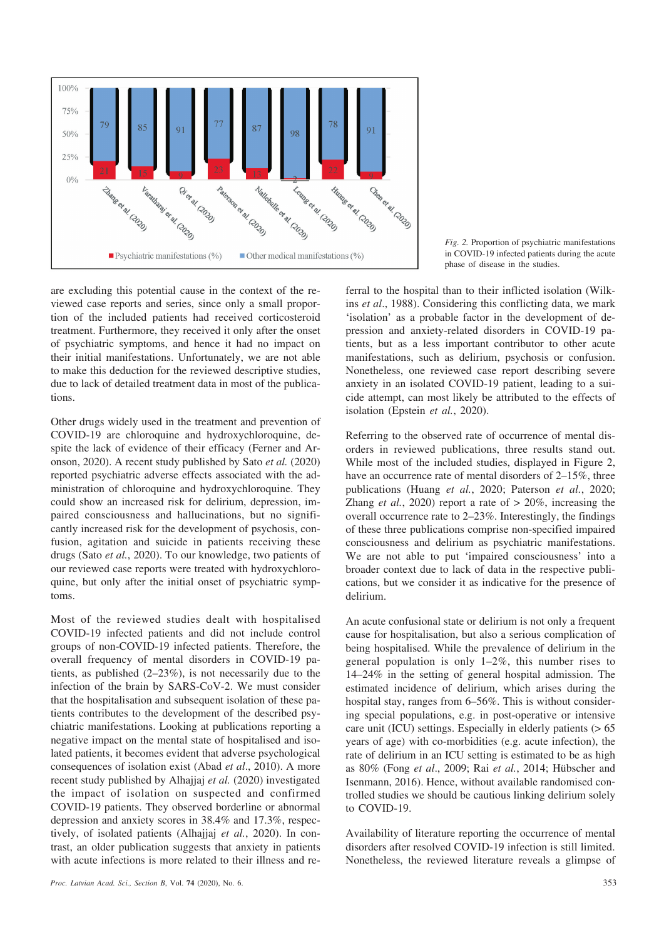

are excluding this potential cause in the context of the reviewed case reports and series, since only a small proportion of the included patients had received corticosteroid treatment. Furthermore, they received it only after the onset of psychiatric symptoms, and hence it had no impact on their initial manifestations. Unfortunately, we are not able to make this deduction for the reviewed descriptive studies, due to lack of detailed treatment data in most of the publications.

Other drugs widely used in the treatment and prevention of COVID-19 are chloroquine and hydroxychloroquine, despite the lack of evidence of their efficacy (Ferner and Aronson, 2020). A recent study published by Sato *et al.* (2020) reported psychiatric adverse effects associated with the administration of chloroquine and hydroxychloroquine. They could show an increased risk for delirium, depression, impaired consciousness and hallucinations, but no significantly increased risk for the development of psychosis, confusion, agitation and suicide in patients receiving these drugs (Sato *et al.*, 2020). To our knowledge, two patients of our reviewed case reports were treated with hydroxychloroquine, but only after the initial onset of psychiatric symptoms.

Most of the reviewed studies dealt with hospitalised COVID-19 infected patients and did not include control groups of non-COVID-19 infected patients. Therefore, the overall frequency of mental disorders in COVID-19 patients, as published (2–23%), is not necessarily due to the infection of the brain by SARS-CoV-2. We must consider that the hospitalisation and subsequent isolation of these patients contributes to the development of the described psychiatric manifestations. Looking at publications reporting a negative impact on the mental state of hospitalised and isolated patients, it becomes evident that adverse psychological consequences of isolation exist (Abad *et al*., 2010). A more recent study published by Alhajjaj *et al.* (2020) investigated the impact of isolation on suspected and confirmed COVID-19 patients. They observed borderline or abnormal depression and anxiety scores in 38.4% and 17.3%, respectively, of isolated patients (Alhajjaj *et al.*, 2020). In contrast, an older publication suggests that anxiety in patients with acute infections is more related to their illness and re-



ferral to the hospital than to their inflicted isolation (Wilkins *et al*., 1988). Considering this conflicting data, we mark 'isolation' as a probable factor in the development of depression and anxiety-related disorders in COVID-19 patients, but as a less important contributor to other acute manifestations, such as delirium, psychosis or confusion. Nonetheless, one reviewed case report describing severe anxiety in an isolated COVID-19 patient, leading to a suicide attempt, can most likely be attributed to the effects of isolation (Epstein *et al.*, 2020).

Referring to the observed rate of occurrence of mental disorders in reviewed publications, three results stand out. While most of the included studies, displayed in Figure 2, have an occurrence rate of mental disorders of 2–15%, three publications (Huang *et al.*, 2020; Paterson *et al.*, 2020; Zhang *et al.*, 2020) report a rate of > 20%, increasing the overall occurrence rate to 2–23%. Interestingly, the findings of these three publications comprise non-specified impaired consciousness and delirium as psychiatric manifestations. We are not able to put 'impaired consciousness' into a broader context due to lack of data in the respective publications, but we consider it as indicative for the presence of delirium.

An acute confusional state or delirium is not only a frequent cause for hospitalisation, but also a serious complication of being hospitalised. While the prevalence of delirium in the general population is only 1–2%, this number rises to 14–24% in the setting of general hospital admission. The estimated incidence of delirium, which arises during the hospital stay, ranges from 6–56%. This is without considering special populations, e.g. in post-operative or intensive care unit (ICU) settings. Especially in elderly patients  $(> 65$ years of age) with co-morbidities (e.g. acute infection), the rate of delirium in an ICU setting is estimated to be as high as 80% (Fong *et al*., 2009; Rai *et al.*, 2014; Hübscher and Isenmann, 2016). Hence, without available randomised controlled studies we should be cautious linking delirium solely to COVID-19.

Availability of literature reporting the occurrence of mental disorders after resolved COVID-19 infection is still limited. Nonetheless, the reviewed literature reveals a glimpse of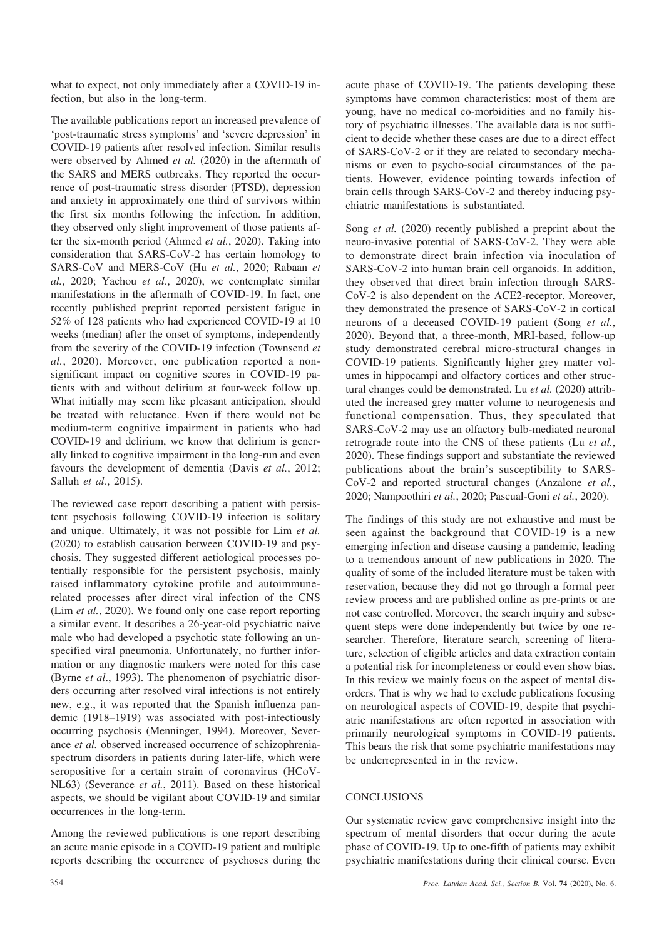what to expect, not only immediately after a COVID-19 infection, but also in the long-term.

The available publications report an increased prevalence of 'post-traumatic stress symptoms' and 'severe depression' in COVID-19 patients after resolved infection. Similar results were observed by Ahmed *et al.* (2020) in the aftermath of the SARS and MERS outbreaks. They reported the occurrence of post-traumatic stress disorder (PTSD), depression and anxiety in approximately one third of survivors within the first six months following the infection. In addition, they observed only slight improvement of those patients after the six-month period (Ahmed *et al.*, 2020). Taking into consideration that SARS-CoV-2 has certain homology to SARS-CoV and MERS-CoV (Hu *et al.*, 2020; Rabaan *et al.*, 2020; Yachou *et al*., 2020), we contemplate similar manifestations in the aftermath of COVID-19. In fact, one recently published preprint reported persistent fatigue in 52% of 128 patients who had experienced COVID-19 at 10 weeks (median) after the onset of symptoms, independently from the severity of the COVID-19 infection (Townsend *et al.*, 2020). Moreover, one publication reported a nonsignificant impact on cognitive scores in COVID-19 patients with and without delirium at four-week follow up. What initially may seem like pleasant anticipation, should be treated with reluctance. Even if there would not be medium-term cognitive impairment in patients who had COVID-19 and delirium, we know that delirium is generally linked to cognitive impairment in the long-run and even favours the development of dementia (Davis *et al.*, 2012; Salluh *et al.*, 2015).

The reviewed case report describing a patient with persistent psychosis following COVID-19 infection is solitary and unique. Ultimately, it was not possible for Lim *et al.* (2020) to establish causation between COVID-19 and psychosis. They suggested different aetiological processes potentially responsible for the persistent psychosis, mainly raised inflammatory cytokine profile and autoimmunerelated processes after direct viral infection of the CNS (Lim *et al.*, 2020). We found only one case report reporting a similar event. It describes a 26-year-old psychiatric naive male who had developed a psychotic state following an unspecified viral pneumonia. Unfortunately, no further information or any diagnostic markers were noted for this case (Byrne *et al*., 1993). The phenomenon of psychiatric disorders occurring after resolved viral infections is not entirely new, e.g., it was reported that the Spanish influenza pandemic (1918–1919) was associated with post-infectiously occurring psychosis (Menninger, 1994). Moreover, Severance *et al.* observed increased occurrence of schizophreniaspectrum disorders in patients during later-life, which were seropositive for a certain strain of coronavirus (HCoV-NL63) (Severance *et al.*, 2011). Based on these historical aspects, we should be vigilant about COVID-19 and similar occurrences in the long-term.

Among the reviewed publications is one report describing an acute manic episode in a COVID-19 patient and multiple reports describing the occurrence of psychoses during the acute phase of COVID-19. The patients developing these symptoms have common characteristics: most of them are young, have no medical co-morbidities and no family history of psychiatric illnesses. The available data is not sufficient to decide whether these cases are due to a direct effect of SARS-CoV-2 or if they are related to secondary mechanisms or even to psycho-social circumstances of the patients. However, evidence pointing towards infection of brain cells through SARS-CoV-2 and thereby inducing psychiatric manifestations is substantiated.

Song *et al.* (2020) recently published a preprint about the neuro-invasive potential of SARS-CoV-2. They were able to demonstrate direct brain infection via inoculation of SARS-CoV-2 into human brain cell organoids. In addition, they observed that direct brain infection through SARS-CoV-2 is also dependent on the ACE2-receptor. Moreover, they demonstrated the presence of SARS-CoV-2 in cortical neurons of a deceased COVID-19 patient (Song *et al.*, 2020). Beyond that, a three-month, MRI-based, follow-up study demonstrated cerebral micro-structural changes in COVID-19 patients. Significantly higher grey matter volumes in hippocampi and olfactory cortices and other structural changes could be demonstrated. Lu *et al.* (2020) attributed the increased grey matter volume to neurogenesis and functional compensation. Thus, they speculated that SARS-CoV-2 may use an olfactory bulb-mediated neuronal retrograde route into the CNS of these patients (Lu *et al.*, 2020). These findings support and substantiate the reviewed publications about the brain's susceptibility to SARS-CoV-2 and reported structural changes (Anzalone *et al.*, 2020; Nampoothiri *et al.*, 2020; Pascual-Goni *et al.*, 2020).

The findings of this study are not exhaustive and must be seen against the background that COVID-19 is a new emerging infection and disease causing a pandemic, leading to a tremendous amount of new publications in 2020. The quality of some of the included literature must be taken with reservation, because they did not go through a formal peer review process and are published online as pre-prints or are not case controlled. Moreover, the search inquiry and subsequent steps were done independently but twice by one researcher. Therefore, literature search, screening of literature, selection of eligible articles and data extraction contain a potential risk for incompleteness or could even show bias. In this review we mainly focus on the aspect of mental disorders. That is why we had to exclude publications focusing on neurological aspects of COVID-19, despite that psychiatric manifestations are often reported in association with primarily neurological symptoms in COVID-19 patients. This bears the risk that some psychiatric manifestations may be underrepresented in in the review.

## **CONCLUSIONS**

Our systematic review gave comprehensive insight into the spectrum of mental disorders that occur during the acute phase of COVID-19. Up to one-fifth of patients may exhibit psychiatric manifestations during their clinical course. Even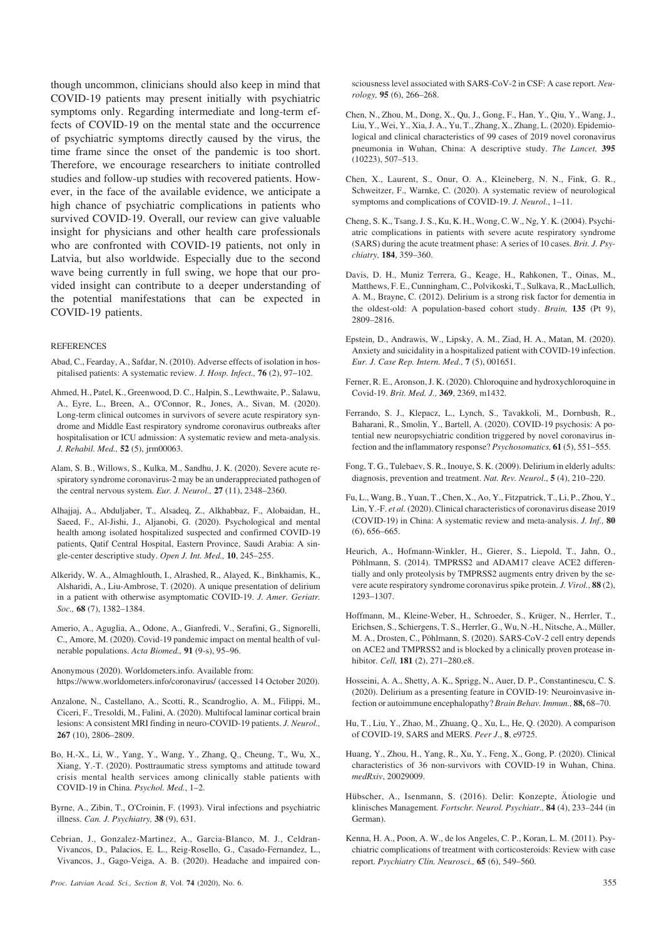though uncommon, clinicians should also keep in mind that COVID-19 patients may present initially with psychiatric symptoms only. Regarding intermediate and long-term effects of COVID-19 on the mental state and the occurrence of psychiatric symptoms directly caused by the virus, the time frame since the onset of the pandemic is too short. Therefore, we encourage researchers to initiate controlled studies and follow-up studies with recovered patients. However, in the face of the available evidence, we anticipate a high chance of psychiatric complications in patients who survived COVID-19. Overall, our review can give valuable insight for physicians and other health care professionals who are confronted with COVID-19 patients, not only in Latvia, but also worldwide. Especially due to the second wave being currently in full swing, we hope that our provided insight can contribute to a deeper understanding of the potential manifestations that can be expected in COVID-19 patients.

#### REFERENCES

- Abad, C., Fearday, A., Safdar, N. (2010). Adverse effects of isolation in hospitalised patients: A systematic review. *J. Hosp. Infect.,* **76** (2), 97–102.
- Ahmed, H., Patel, K., Greenwood, D. C., Halpin, S., Lewthwaite, P., Salawu, A., Eyre, L., Breen, A., O'Connor, R., Jones, A., Sivan, M. (2020). Long-term clinical outcomes in survivors of severe acute respiratory syndrome and Middle East respiratory syndrome coronavirus outbreaks after hospitalisation or ICU admission: A systematic review and meta-analysis. *J. Rehabil. Med.,* **52** (5), jrm00063.
- Alam, S. B., Willows, S., Kulka, M., Sandhu, J. K. (2020). Severe acute respiratory syndrome coronavirus-2 may be an underappreciated pathogen of the central nervous system. *Eur. J. Neurol.,* **27** (11), 2348–2360.
- Alhajjaj, A., Abduljaber, T., Alsadeq, Z., Alkhabbaz, F., Alobaidan, H., Saeed, F., Al-Jishi, J., Aljanobi, G. (2020). Psychological and mental health among isolated hospitalized suspected and confirmed COVID-19 patients, Qatif Central Hospital, Eastern Province, Saudi Arabia: A single-center descriptive study. *Open J. Int. Med.,* **10**, 245–255.
- Alkeridy, W. A., Almaghlouth, I., Alrashed, R., Alayed, K., Binkhamis, K., Alsharidi, A., Liu-Ambrose, T. (2020). A unique presentation of delirium in a patient with otherwise asymptomatic COVID-19. *J. Amer. Geriatr. Soc.,* **68** (7), 1382–1384.
- Amerio, A., Aguglia, A., Odone, A., Gianfredi, V., Serafini, G., Signorelli, C., Amore, M. (2020). Covid-19 pandemic impact on mental health of vulnerable populations. *Acta Biomed.,* **91** (9-s), 95–96.
- Anonymous (2020). Worldometers.info. Available from: https://www.worldometers.info/coronavirus/ (accessed 14 October 2020).
- Anzalone, N., Castellano, A., Scotti, R., Scandroglio, A. M., Filippi, M., Ciceri, F., Tresoldi, M., Falini, A. (2020). Multifocal laminar cortical brain lesions: A consistent MRI finding in neuro-COVID-19 patients. *J. Neurol.,* **267** (10), 2806–2809.
- Bo, H.-X., Li, W., Yang, Y., Wang, Y., Zhang, Q., Cheung, T., Wu, X., Xiang, Y.-T. (2020). Posttraumatic stress symptoms and attitude toward crisis mental health services among clinically stable patients with COVID-19 in China. *Psychol. Med.*, 1–2.
- Byrne, A., Zibin, T., O'Croinin, F. (1993). Viral infections and psychiatric illness. *Can. J. Psychiatry,* **38** (9), 631.
- Cebrian, J., Gonzalez-Martinez, A., Garcia-Blanco, M. J., Celdran-Vivancos, D., Palacios, E. L., Reig-Rosello, G., Casado-Fernandez, L., Vivancos, J., Gago-Veiga, A. B. (2020). Headache and impaired con-

sciousness level associated with SARS-CoV-2 in CSF: A case report. *Neurology,* **95** (6), 266–268.

- Chen, N., Zhou, M., Dong, X., Qu, J., Gong, F., Han, Y., Qiu, Y., Wang, J., Liu, Y., Wei, Y., Xia, J. A., Yu, T., Zhang, X., Zhang, L. (2020). Epidemiological and clinical characteristics of 99 cases of 2019 novel coronavirus pneumonia in Wuhan, China: A descriptive study. *The Lancet,* **395** (10223), 507–513.
- Chen, X., Laurent, S., Onur, O. A., Kleineberg, N. N., Fink, G. R., Schweitzer, F., Warnke, C. (2020). A systematic review of neurological symptoms and complications of COVID-19. *J. Neurol.*, 1–11.
- Cheng, S. K., Tsang, J. S., Ku, K. H., Wong, C. W., Ng, Y. K. (2004). Psychiatric complications in patients with severe acute respiratory syndrome (SARS) during the acute treatment phase: A series of 10 cases. *Brit. J. Psychiatry,* **184**, 359–360.
- Davis, D. H., Muniz Terrera, G., Keage, H., Rahkonen, T., Oinas, M., Matthews, F. E., Cunningham, C., Polvikoski, T., Sulkava, R., MacLullich, A. M., Brayne, C. (2012). Delirium is a strong risk factor for dementia in the oldest-old: A population-based cohort study. *Brain,* **135** (Pt 9), 2809–2816.
- Epstein, D., Andrawis, W., Lipsky, A. M., Ziad, H. A., Matan, M. (2020). Anxiety and suicidality in a hospitalized patient with COVID-19 infection. *Eur. J. Case Rep. Intern. Med.,* **7** (5), 001651.
- Ferner, R. E., Aronson, J. K. (2020). Chloroquine and hydroxychloroquine in Covid-19. *Brit. Med. J.,* **369**, 2369, m1432.
- Ferrando, S. J., Klepacz, L., Lynch, S., Tavakkoli, M., Dornbush, R., Baharani, R., Smolin, Y., Bartell, A. (2020). COVID-19 psychosis: A potential new neuropsychiatric condition triggered by novel coronavirus infection and the inflammatory response? *Psychosomatics,* **61** (5), 551–555.
- Fong, T. G., Tulebaev, S. R., Inouye, S. K. (2009). Delirium in elderly adults: diagnosis, prevention and treatment. *Nat. Rev. Neurol*., **5** (4), 210–220.
- Fu, L., Wang, B., Yuan, T., Chen, X., Ao, Y., Fitzpatrick, T., Li, P., Zhou, Y., Lin, Y.-F. *et al.* (2020). Clinical characteristics of coronavirus disease 2019 (COVID-19) in China: A systematic review and meta-analysis. *J. Inf.,* **80** (6), 656–665.
- Heurich, A., Hofmann-Winkler, H., Gierer, S., Liepold, T., Jahn, O., Pöhlmann, S. (2014). TMPRSS2 and ADAM17 cleave ACE2 differentially and only proteolysis by TMPRSS2 augments entry driven by the severe acute respiratory syndrome coronavirus spike protein. *J. Virol.,* **88** (2), 1293–1307.
- Hoffmann, M., Kleine-Weber, H., Schroeder, S., Krüger, N., Herrler, T., Erichsen, S., Schiergens, T. S., Herrler, G., Wu, N.-H., Nitsche, A., Müller, M. A., Drosten, C., Pöhlmann, S. (2020). SARS-CoV-2 cell entry depends on ACE2 and TMPRSS2 and is blocked by a clinically proven protease inhibitor. *Cell,* **181** (2), 271–280.e8.
- Hosseini, A. A., Shetty, A. K., Sprigg, N., Auer, D. P., Constantinescu, C. S. (2020). Delirium as a presenting feature in COVID-19: Neuroinvasive infection or autoimmune encephalopathy? *Brain Behav. Immun.,* **88,** 68–70.
- Hu, T., Liu, Y., Zhao, M., Zhuang, Q., Xu, L., He, Q. (2020). A comparison of COVID-19, SARS and MERS. *Peer J*., **8**, e9725.
- Huang, Y., Zhou, H., Yang, R., Xu, Y., Feng, X., Gong, P. (2020). Clinical characteristics of 36 non-survivors with COVID-19 in Wuhan, China. *medRxiv*, 20029009.
- Hübscher, A., Isenmann, S. (2016). Delir: Konzepte, Ätiologie und klinisches Management*. Fortschr. Neurol. Psychiatr.,* **84** (4), 233–244 (in German).
- Kenna, H. A., Poon, A. W., de los Angeles, C. P., Koran, L. M. (2011). Psychiatric complications of treatment with corticosteroids: Review with case report. *Psychiatry Clin. Neurosci.,* **65** (6), 549–560.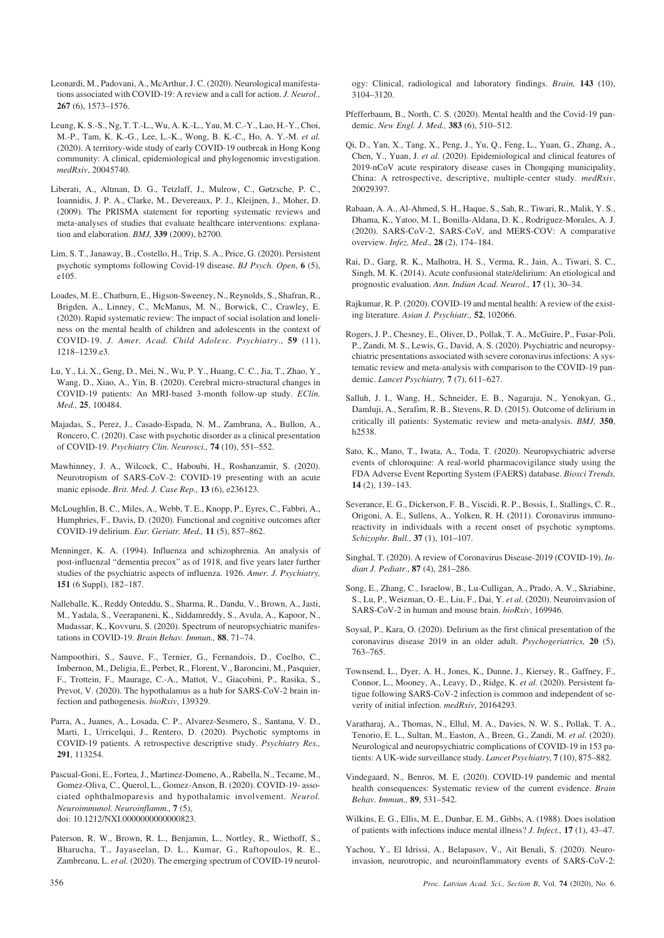- Leonardi, M., Padovani, A., McArthur, J. C. (2020). Neurological manifestations associated with COVID-19: A review and a call for action. *J. Neurol.,* **267** (6), 1573–1576.
- Leung, K. S.-S., Ng, T. T.-L., Wu, A. K.-L., Yau, M. C.-Y., Lao, H.-Y., Choi, M.-P., Tam, K. K.-G., Lee, L.-K., Wong, B. K.-C., Ho, A. Y.-M. *et al.* (2020). A territory-wide study of early COVID-19 outbreak in Hong Kong community: A clinical, epidemiological and phylogenomic investigation. *medRxiv*, 20045740.
- Liberati, A., Altman, D. G., Tetzlaff, J., Mulrow, C., Gøtzsche, P. C., Ioannidis, J. P. A., Clarke, M., Devereaux, P. J., Kleijnen, J., Moher, D. (2009). The PRISMA statement for reporting systematic reviews and meta-analyses of studies that evaluate healthcare interventions: explanation and elaboration. *BMJ,* **339** (2009), b2700.
- Lim, S. T., Janaway, B., Costello, H., Trip, S. A., Price, G. (2020). Persistent psychotic symptoms following Covid-19 disease. *BJ Psych. Open*, **6** (5), e105.
- Loades, M. E., Chatburn, E., Higson-Sweeney, N., Reynolds, S., Shafran, R., Brigden, A., Linney, C., McManus, M. N., Borwick, C., Crawley, E. (2020). Rapid systematic review: The impact of social isolation and loneliness on the mental health of children and adolescents in the context of COVID-19. *J. Amer. Acad. Child Adolesc. Psychiatry*., **59** (11), 1218–1239.e3.
- Lu, Y., Li, X., Geng, D., Mei, N., Wu, P. Y., Huang, C. C., Jia, T., Zhao, Y., Wang, D., Xiao, A., Yin, B. (2020). Cerebral micro-structural changes in COVID-19 patients: An MRI-based 3-month follow-up study. *EClin. Med.,* **25**, 100484.
- Majadas, S., Perez, J., Casado-Espada, N. M., Zambrana, A., Bullon, A., Roncero, C. (2020). Case with psychotic disorder as a clinical presentation of COVID-19. *Psychiatry Clin. Neurosci.,* **74** (10), 551–552.
- Mawhinney, J. A., Wilcock, C., Haboubi, H., Roshanzamir, S. (2020). Neurotropism of SARS-CoV-2: COVID-19 presenting with an acute manic episode. *Brit. Med. J. Case Rep.,* **13** (6), e236123.
- McLoughlin, B. C., Miles, A., Webb, T. E., Knopp, P., Eyres, C., Fabbri, A., Humphries, F., Davis, D. (2020). Functional and cognitive outcomes after COVID-19 delirium. *Eur. Geriatr. Med.,* **11** (5), 857–862.
- Menninger, K. A. (1994). Influenza and schizophrenia. An analysis of post-influenzal "dementia precox" as of 1918, and five years later further studies of the psychiatric aspects of influenza. 1926. *Amer. J. Psychiatry,* **151** (6 Suppl), 182–187.
- Nalleballe, K., Reddy Onteddu, S., Sharma, R., Dandu, V., Brown, A., Jasti, M., Yadala, S., Veerapaneni, K., Siddamreddy, S., Avula, A., Kapoor, N., Mudassar, K., Kovvuru, S. (2020). Spectrum of neuropsychiatric manifestations in COVID-19. *Brain Behav. Immun.,* **88**, 71–74.
- Nampoothiri, S., Sauve, F., Ternier, G., Fernandois, D., Coelho, C., Imbernon, M., Deligia, E., Perbet, R., Florent, V., Baroncini, M., Pasquier, F., Trottein, F., Maurage, C.-A., Mattot, V., Giacobini, P., Rasika, S., Prevot, V. (2020). The hypothalamus as a hub for SARS-CoV-2 brain infection and pathogenesis. *bioRxiv*, 139329.
- Parra, A., Juanes, A., Losada, C. P., Alvarez-Sesmero, S., Santana, V. D., Marti, I., Urricelqui, J., Rentero, D. (2020). Psychotic symptoms in COVID-19 patients. A retrospective descriptive study. *Psychiatry Res.,* **291**, 113254.
- Pascual-Goni, E., Fortea, J., Martinez-Domeno, A., Rabella, N., Tecame, M., Gomez-Oliva, C., Querol, L., Gomez-Anson, B. (2020). COVID-19- associated ophthalmoparesis and hypothalamic involvement. *Neurol. Neuroimmunol. Neuroinflamm.,* **7** (5), doi: 10.1212/NXI.0000000000000823.
- Paterson, R. W., Brown, R. L., Benjamin, L., Nortley, R., Wiethoff, S., Bharucha, T., Jayaseelan, D. L., Kumar, G., Raftopoulos, R. E., Zambreanu, L. *et al.* (2020). The emerging spectrum of COVID-19 neurol-

ogy: Clinical, radiological and laboratory findings. *Brain,* **143** (10), 3104–3120.

- Pfefferbaum, B., North, C. S. (2020). Mental health and the Covid-19 pandemic. *New Engl. J. Med.,* **383** (6), 510–512.
- Qi, D., Yan, X., Tang, X., Peng, J., Yu, Q., Feng, L., Yuan, G., Zhang, A., Chen, Y., Yuan, J. *et al.* (2020). Epidemiological and clinical features of 2019-nCoV acute respiratory disease cases in Chongqing municipality, China: A retrospective, descriptive, multiple-center study. *medRxiv*, 20029397.
- Rabaan, A. A., Al-Ahmed, S. H., Haque, S., Sah, R., Tiwari, R., Malik, Y. S., Dhama, K., Yatoo, M. I., Bonilla-Aldana, D. K., Rodriguez-Morales, A. J. (2020). SARS-CoV-2, SARS-CoV, and MERS-COV: A comparative overview. *Infez. Med.,* **28** (2), 174–184.
- Rai, D., Garg, R. K., Malhotra, H. S., Verma, R., Jain, A., Tiwari, S. C., Singh, M. K. (2014). Acute confusional state/delirium: An etiological and prognostic evaluation. *Ann. Indian Acad. Neurol.,* **17** (1), 30–34.
- Rajkumar, R. P. (2020). COVID-19 and mental health: A review of the existing literature. *Asian J. Psychiatr.,* **52**, 102066.
- Rogers, J. P., Chesney, E., Oliver, D., Pollak, T. A., McGuire, P., Fusar-Poli, P., Zandi, M. S., Lewis, G., David, A. S. (2020). Psychiatric and neuropsychiatric presentations associated with severe coronavirus infections: A systematic review and meta-analysis with comparison to the COVID-19 pandemic. *Lancet Psychiatry,* **7** (7), 611–627.
- Salluh, J. I., Wang, H., Schneider, E. B., Nagaraja, N., Yenokyan, G., Damluji, A., Serafim, R. B., Stevens, R. D. (2015). Outcome of delirium in critically ill patients: Systematic review and meta-analysis. *BMJ,* **350**, h2538.
- Sato, K., Mano, T., Iwata, A., Toda, T. (2020). Neuropsychiatric adverse events of chloroquine: A real-world pharmacovigilance study using the FDA Adverse Event Reporting System (FAERS) database. *Biosci Trends,* **14** (2), 139–143.
- Severance, E. G., Dickerson, F. B., Viscidi, R. P., Bossis, I., Stallings, C. R., Origoni, A. E., Sullens, A., Yolken, R. H. (2011). Coronavirus immunoreactivity in individuals with a recent onset of psychotic symptoms. *Schizophr. Bull.,* **37** (1), 101–107.
- Singhal, T. (2020). A review of Coronavirus Disease-2019 (COVID-19). *Indian J. Pediatr*., **87** (4), 281–286.
- Song, E., Zhang, C., Israelow, B., Lu-Culligan, A., Prado, A. V., Skriabine, S., Lu, P., Weizman, O.-E., Liu, F., Dai, Y. *et al.* (2020). Neuroinvasion of SARS-CoV-2 in human and mouse brain. *bioRxiv*, 169946.
- Soysal, P., Kara, O. (2020). Delirium as the first clinical presentation of the coronavirus disease 2019 in an older adult. *Psychogeriatrics,* **20** (5), 763–765.
- Townsend, L., Dyer, A. H., Jones, K., Dunne, J., Kiersey, R., Gaffney, F., Connor, L., Mooney, A., Leavy, D., Ridge, K. *et al.* (2020). Persistent fatigue following SARS-CoV-2 infection is common and independent of severity of initial infection. *medRxiv*, 20164293.
- Varatharaj, A., Thomas, N., Ellul, M. A., Davies, N. W. S., Pollak, T. A., Tenorio, E. L., Sultan, M., Easton, A., Breen, G., Zandi, M. *et al.* (2020). Neurological and neuropsychiatric complications of COVID-19 in 153 patients: A UK-wide surveillance study. *Lancet Psychiatry,* **7** (10), 875–882.
- Vindegaard, N., Benros, M. E. (2020). COVID-19 pandemic and mental health consequences: Systematic review of the current evidence. *Brain Behav. Immun.,* **89**, 531–542.
- Wilkins, E. G., Ellis, M. E., Dunbar, E. M., Gibbs, A. (1988). Does isolation of patients with infections induce mental illness? *J. Infect.,* **17** (1), 43–47.
- Yachou, Y., El Idrissi, A., Belapasov, V., Ait Benali, S. (2020). Neuroinvasion, neurotropic, and neuroinflammatory events of SARS-CoV-2: